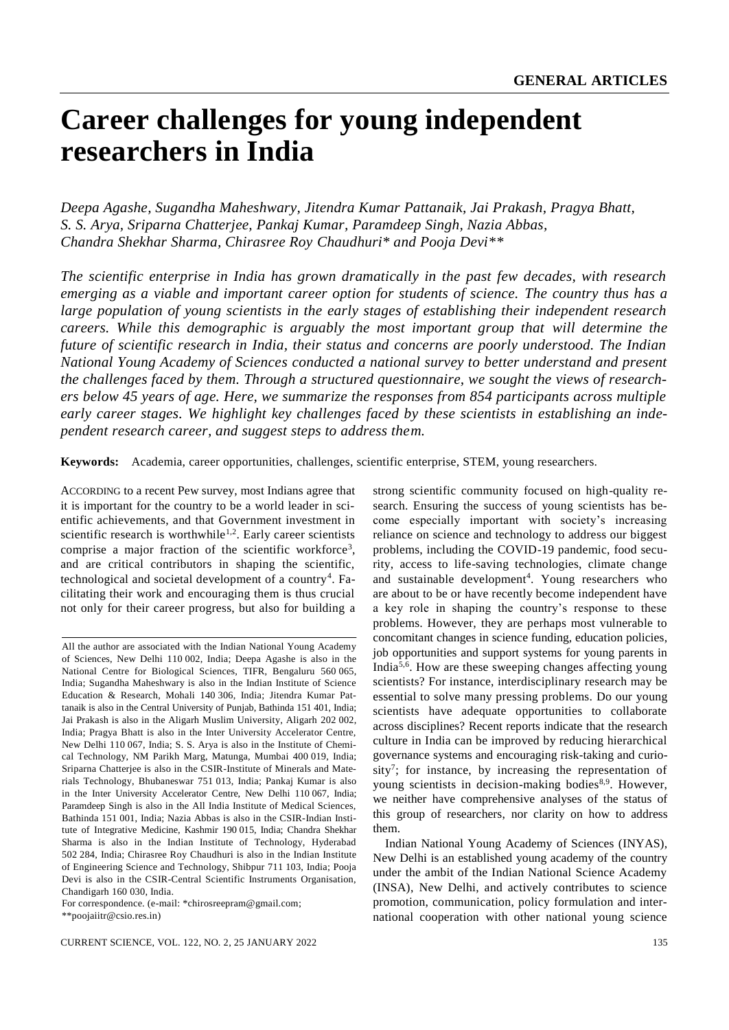# **Career challenges for young independent researchers in India**

*Deepa Agashe, Sugandha Maheshwary, Jitendra Kumar Pattanaik, Jai Prakash, Pragya Bhatt, S. S. Arya, Sriparna Chatterjee, Pankaj Kumar, Paramdeep Singh, Nazia Abbas, Chandra Shekhar Sharma, Chirasree Roy Chaudhuri\* and Pooja Devi\*\**

*The scientific enterprise in India has grown dramatically in the past few decades, with research emerging as a viable and important career option for students of science. The country thus has a large population of young scientists in the early stages of establishing their independent research careers. While this demographic is arguably the most important group that will determine the future of scientific research in India, their status and concerns are poorly understood. The Indian National Young Academy of Sciences conducted a national survey to better understand and present the challenges faced by them. Through a structured questionnaire, we sought the views of researchers below 45 years of age. Here, we summarize the responses from 854 participants across multiple early career stages. We highlight key challenges faced by these scientists in establishing an independent research career, and suggest steps to address them.*

**Keywords:** Academia, career opportunities, challenges, scientific enterprise, STEM, young researchers.

ACCORDING to a recent Pew survey, most Indians agree that it is important for the country to be a world leader in scientific achievements, and that Government investment in scientific research is worthwhile<sup>1,2</sup>. Early career scientists comprise a major fraction of the scientific workforce<sup>3</sup>, and are critical contributors in shaping the scientific, technological and societal development of a country<sup>4</sup>. Facilitating their work and encouraging them is thus crucial not only for their career progress, but also for building a

strong scientific community focused on high-quality research. Ensuring the success of young scientists has become especially important with society's increasing reliance on science and technology to address our biggest problems, including the COVID-19 pandemic, food security, access to life-saving technologies, climate change and sustainable development<sup>4</sup>. Young researchers who are about to be or have recently become independent have a key role in shaping the country's response to these problems. However, they are perhaps most vulnerable to concomitant changes in science funding, education policies, job opportunities and support systems for young parents in India<sup>5,6</sup>. How are these sweeping changes affecting young scientists? For instance, interdisciplinary research may be essential to solve many pressing problems. Do our young scientists have adequate opportunities to collaborate across disciplines? Recent reports indicate that the research culture in India can be improved by reducing hierarchical governance systems and encouraging risk-taking and curiosity<sup>7</sup>; for instance, by increasing the representation of young scientists in decision-making bodies<sup>8,9</sup>. However, we neither have comprehensive analyses of the status of this group of researchers, nor clarity on how to address them.

Indian National Young Academy of Sciences (INYAS), New Delhi is an established young academy of the country under the ambit of the Indian National Science Academy (INSA), New Delhi, and actively contributes to science promotion, communication, policy formulation and international cooperation with other national young science

All the author are associated with the Indian National Young Academy of Sciences, New Delhi 110 002, India; Deepa Agashe is also in the National Centre for Biological Sciences, TIFR, Bengaluru 560 065, India; Sugandha Maheshwary is also in the Indian Institute of Science Education & Research, Mohali 140 306, India; Jitendra Kumar Pattanaik is also in the Central University of Punjab, Bathinda 151 401, India; Jai Prakash is also in the Aligarh Muslim University, Aligarh 202 002, India; Pragya Bhatt is also in the Inter University Accelerator Centre, New Delhi 110 067, India; S. S. Arya is also in the Institute of Chemical Technology, NM Parikh Marg, Matunga, Mumbai 400 019, India; Sriparna Chatterjee is also in the CSIR-Institute of Minerals and Materials Technology, Bhubaneswar 751 013, India; Pankaj Kumar is also in the Inter University Accelerator Centre, New Delhi 110 067, India; Paramdeep Singh is also in the All India Institute of Medical Sciences, Bathinda 151 001, India; Nazia Abbas is also in the CSIR-Indian Institute of Integrative Medicine, Kashmir 190 015, India; Chandra Shekhar Sharma is also in the Indian Institute of Technology, Hyderabad 502 284, India; Chirasree Roy Chaudhuri is also in the Indian Institute of Engineering Science and Technology, Shibpur 711 103, India; Pooja Devi is also in the CSIR-Central Scientific Instruments Organisation, Chandigarh 160 030, India.

For correspondence. (e-mail: \*chirosreepram@gmail.com;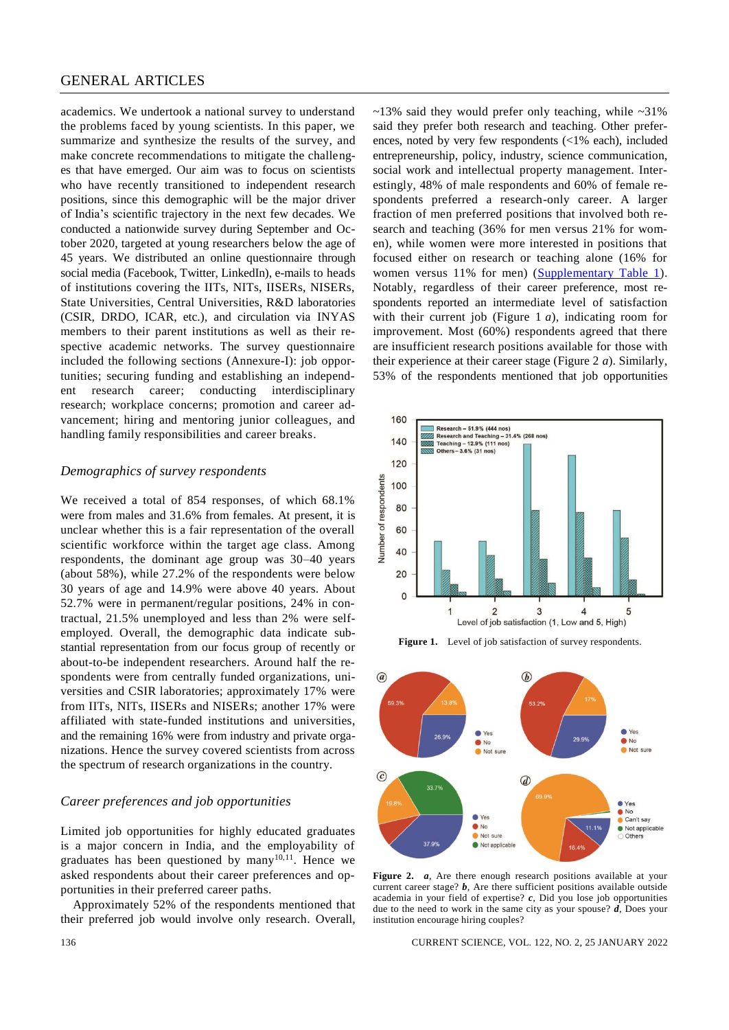# GENERAL ARTICLES

academics. We undertook a national survey to understand the problems faced by young scientists. In this paper, we summarize and synthesize the results of the survey, and make concrete recommendations to mitigate the challenges that have emerged. Our aim was to focus on scientists who have recently transitioned to independent research positions, since this demographic will be the major driver of India's scientific trajectory in the next few decades. We conducted a nationwide survey during September and October 2020, targeted at young researchers below the age of 45 years. We distributed an online questionnaire through social media (Facebook, Twitter, LinkedIn), e-mails to heads of institutions covering the IITs, NITs, IISERs, NISERs, State Universities, Central Universities, R&D laboratories (CSIR, DRDO, ICAR, etc.), and circulation via INYAS members to their parent institutions as well as their respective academic networks. The survey questionnaire included the following sections (Annexure-I): job opportunities; securing funding and establishing an independent research career; conducting interdisciplinary research; workplace concerns; promotion and career advancement; hiring and mentoring junior colleagues, and handling family responsibilities and career breaks.

### *Demographics of survey respondents*

We received a total of 854 responses, of which 68.1% were from males and 31.6% from females. At present, it is unclear whether this is a fair representation of the overall scientific workforce within the target age class. Among respondents, the dominant age group was 30–40 years (about 58%), while 27.2% of the respondents were below 30 years of age and 14.9% were above 40 years. About 52.7% were in permanent/regular positions, 24% in contractual, 21.5% unemployed and less than 2% were selfemployed. Overall, the demographic data indicate substantial representation from our focus group of recently or about-to-be independent researchers. Around half the respondents were from centrally funded organizations, universities and CSIR laboratories; approximately 17% were from IITs, NITs, IISERs and NISERs; another 17% were affiliated with state-funded institutions and universities, and the remaining 16% were from industry and private organizations. Hence the survey covered scientists from across the spectrum of research organizations in the country.

# *Career preferences and job opportunities*

Limited job opportunities for highly educated graduates is a major concern in India, and the employability of graduates has been questioned by many $10,11$ . Hence we asked respondents about their career preferences and opportunities in their preferred career paths.

Approximately 52% of the respondents mentioned that their preferred job would involve only research. Overall,  $\sim$ 13% said they would prefer only teaching, while  $\sim$ 31% said they prefer both research and teaching. Other preferences, noted by very few respondents (<1% each), included entrepreneurship, policy, industry, science communication, social work and intellectual property management. Interestingly, 48% of male respondents and 60% of female respondents preferred a research-only career. A larger fraction of men preferred positions that involved both research and teaching (36% for men versus 21% for women), while women were more interested in positions that focused either on research or teaching alone (16% for women versus 11% for men) [\(Supplementary Table 1\)](https://www.currentscience.ac.in/Volumes/122/02/0135-suppl.pdf). Notably, regardless of their career preference, most respondents reported an intermediate level of satisfaction with their current job (Figure 1 *a*), indicating room for improvement. Most (60%) respondents agreed that there are insufficient research positions available for those with their experience at their career stage (Figure 2 *a*). Similarly, 53% of the respondents mentioned that job opportunities



**Figure 1.** Level of job satisfaction of survey respondents.



Figure 2. *a*, Are there enough research positions available at your current career stage? *b*, Are there sufficient positions available outside academia in your field of expertise? *c*, Did you lose job opportunities due to the need to work in the same city as your spouse? *d*, Does your institution encourage hiring couples?

136 CURRENT SCIENCE, VOL. 122, NO. 2, 25 JANUARY 2022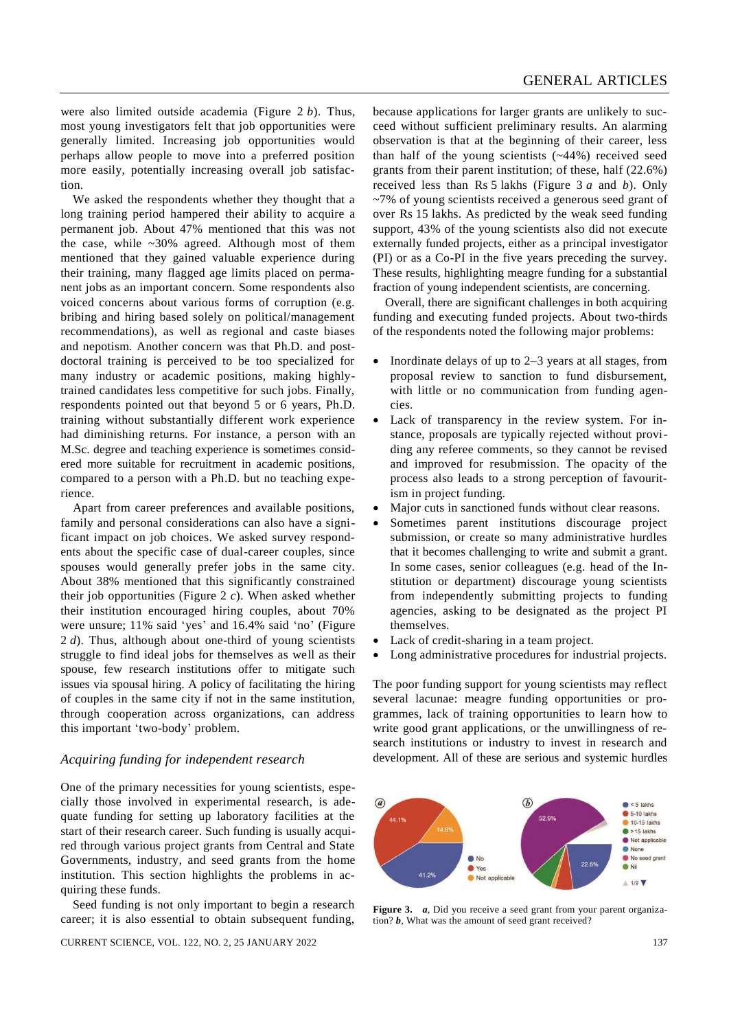were also limited outside academia (Figure 2 *b*). Thus, most young investigators felt that job opportunities were generally limited. Increasing job opportunities would perhaps allow people to move into a preferred position more easily, potentially increasing overall job satisfaction.

We asked the respondents whether they thought that a long training period hampered their ability to acquire a permanent job. About 47% mentioned that this was not the case, while  $\sim 30\%$  agreed. Although most of them mentioned that they gained valuable experience during their training, many flagged age limits placed on permanent jobs as an important concern. Some respondents also voiced concerns about various forms of corruption (e.g. bribing and hiring based solely on political/management recommendations), as well as regional and caste biases and nepotism. Another concern was that Ph.D. and postdoctoral training is perceived to be too specialized for many industry or academic positions, making highlytrained candidates less competitive for such jobs. Finally, respondents pointed out that beyond 5 or 6 years, Ph.D. training without substantially different work experience had diminishing returns. For instance, a person with an M.Sc. degree and teaching experience is sometimes considered more suitable for recruitment in academic positions, compared to a person with a Ph.D. but no teaching experience.

Apart from career preferences and available positions, family and personal considerations can also have a significant impact on job choices. We asked survey respondents about the specific case of dual-career couples, since spouses would generally prefer jobs in the same city. About 38% mentioned that this significantly constrained their job opportunities (Figure 2 *c*). When asked whether their institution encouraged hiring couples, about 70% were unsure; 11% said 'yes' and 16.4% said 'no' (Figure 2 *d*). Thus, although about one-third of young scientists struggle to find ideal jobs for themselves as well as their spouse, few research institutions offer to mitigate such issues via spousal hiring. A policy of facilitating the hiring of couples in the same city if not in the same institution, through cooperation across organizations, can address this important 'two-body' problem.

#### *Acquiring funding for independent research*

One of the primary necessities for young scientists, especially those involved in experimental research, is adequate funding for setting up laboratory facilities at the start of their research career. Such funding is usually acquired through various project grants from Central and State Governments, industry, and seed grants from the home institution. This section highlights the problems in acquiring these funds.

Seed funding is not only important to begin a research career; it is also essential to obtain subsequent funding,

because applications for larger grants are unlikely to succeed without sufficient preliminary results. An alarming observation is that at the beginning of their career, less than half of the young scientists (~44%) received seed grants from their parent institution; of these, half (22.6%) received less than Rs 5 lakhs (Figure 3 *a* and *b*). Only ~7% of young scientists received a generous seed grant of over Rs 15 lakhs. As predicted by the weak seed funding support, 43% of the young scientists also did not execute externally funded projects, either as a principal investigator (PI) or as a Co-PI in the five years preceding the survey. These results, highlighting meagre funding for a substantial fraction of young independent scientists, are concerning.

Overall, there are significant challenges in both acquiring funding and executing funded projects. About two-thirds of the respondents noted the following major problems:

- Inordinate delays of up to  $2-3$  years at all stages, from proposal review to sanction to fund disbursement, with little or no communication from funding agencies.
- Lack of transparency in the review system. For instance, proposals are typically rejected without providing any referee comments, so they cannot be revised and improved for resubmission. The opacity of the process also leads to a strong perception of favouritism in project funding.
- Major cuts in sanctioned funds without clear reasons.
- Sometimes parent institutions discourage project submission, or create so many administrative hurdles that it becomes challenging to write and submit a grant. In some cases, senior colleagues (e.g. head of the Institution or department) discourage young scientists from independently submitting projects to funding agencies, asking to be designated as the project PI themselves.
- Lack of credit-sharing in a team project.
- Long administrative procedures for industrial projects.

The poor funding support for young scientists may reflect several lacunae: meagre funding opportunities or programmes, lack of training opportunities to learn how to write good grant applications, or the unwillingness of research institutions or industry to invest in research and development. All of these are serious and systemic hurdles



**Figure 3.** *a*, Did you receive a seed grant from your parent organization? *b*, What was the amount of seed grant received?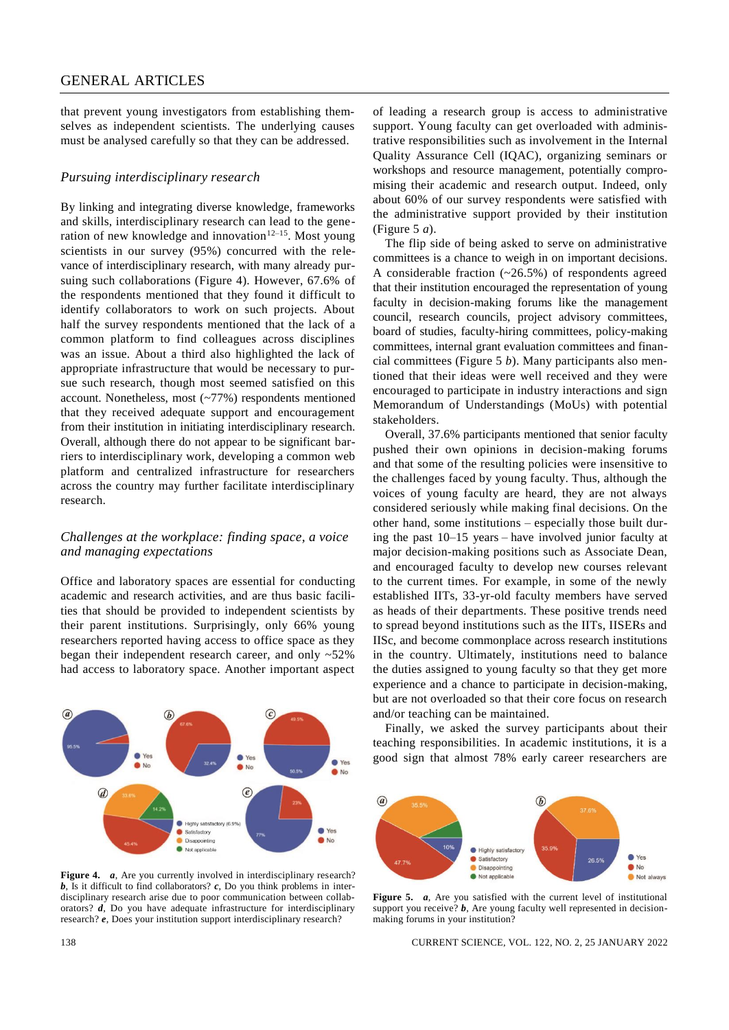that prevent young investigators from establishing themselves as independent scientists. The underlying causes must be analysed carefully so that they can be addressed.

#### *Pursuing interdisciplinary research*

By linking and integrating diverse knowledge, frameworks and skills, interdisciplinary research can lead to the generation of new knowledge and innovation<sup>12–15</sup>. Most young scientists in our survey (95%) concurred with the relevance of interdisciplinary research, with many already pursuing such collaborations (Figure 4). However, 67.6% of the respondents mentioned that they found it difficult to identify collaborators to work on such projects. About half the survey respondents mentioned that the lack of a common platform to find colleagues across disciplines was an issue. About a third also highlighted the lack of appropriate infrastructure that would be necessary to pursue such research, though most seemed satisfied on this account. Nonetheless, most (~77%) respondents mentioned that they received adequate support and encouragement from their institution in initiating interdisciplinary research. Overall, although there do not appear to be significant barriers to interdisciplinary work, developing a common web platform and centralized infrastructure for researchers across the country may further facilitate interdisciplinary research.

#### *Challenges at the workplace: finding space, a voice and managing expectations*

Office and laboratory spaces are essential for conducting academic and research activities, and are thus basic facilities that should be provided to independent scientists by their parent institutions. Surprisingly, only 66% young researchers reported having access to office space as they began their independent research career, and only ~52% had access to laboratory space. Another important aspect



Figure 4. *a*, Are you currently involved in interdisciplinary research? **, Is it difficult to find collaborators?**  $**c**$ **, Do you think problems in inter**disciplinary research arise due to poor communication between collaborators? *d*, Do you have adequate infrastructure for interdisciplinary research? *e*, Does your institution support interdisciplinary research?

of leading a research group is access to administrative support. Young faculty can get overloaded with administrative responsibilities such as involvement in the Internal Quality Assurance Cell (IQAC), organizing seminars or workshops and resource management, potentially compromising their academic and research output. Indeed, only about 60% of our survey respondents were satisfied with the administrative support provided by their institution (Figure 5 *a*).

The flip side of being asked to serve on administrative committees is a chance to weigh in on important decisions. A considerable fraction (~26.5%) of respondents agreed that their institution encouraged the representation of young faculty in decision-making forums like the management council, research councils, project advisory committees, board of studies, faculty-hiring committees, policy-making committees, internal grant evaluation committees and financial committees (Figure 5 *b*). Many participants also mentioned that their ideas were well received and they were encouraged to participate in industry interactions and sign Memorandum of Understandings (MoUs) with potential stakeholders.

Overall, 37.6% participants mentioned that senior faculty pushed their own opinions in decision-making forums and that some of the resulting policies were insensitive to the challenges faced by young faculty. Thus, although the voices of young faculty are heard, they are not always considered seriously while making final decisions. On the other hand, some institutions – especially those built during the past 10–15 years – have involved junior faculty at major decision-making positions such as Associate Dean, and encouraged faculty to develop new courses relevant to the current times. For example, in some of the newly established IITs, 33-yr-old faculty members have served as heads of their departments. These positive trends need to spread beyond institutions such as the IITs, IISERs and IISc, and become commonplace across research institutions in the country. Ultimately, institutions need to balance the duties assigned to young faculty so that they get more experience and a chance to participate in decision-making, but are not overloaded so that their core focus on research and/or teaching can be maintained.

Finally, we asked the survey participants about their teaching responsibilities. In academic institutions, it is a good sign that almost 78% early career researchers are



**Figure 5.** *a*, Are you satisfied with the current level of institutional support you receive? *b*, Are young faculty well represented in decisionmaking forums in your institution?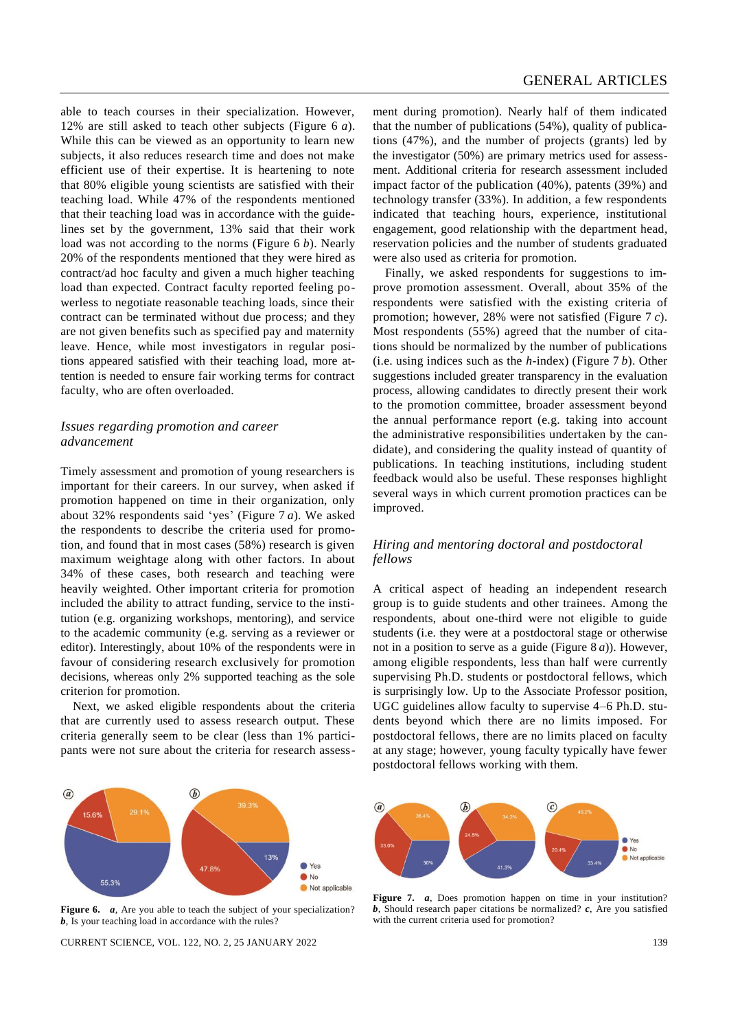able to teach courses in their specialization. However, 12% are still asked to teach other subjects (Figure 6 *a*). While this can be viewed as an opportunity to learn new subjects, it also reduces research time and does not make efficient use of their expertise. It is heartening to note that 80% eligible young scientists are satisfied with their teaching load. While 47% of the respondents mentioned that their teaching load was in accordance with the guidelines set by the government, 13% said that their work load was not according to the norms (Figure 6 *b*). Nearly 20% of the respondents mentioned that they were hired as contract/ad hoc faculty and given a much higher teaching load than expected. Contract faculty reported feeling powerless to negotiate reasonable teaching loads, since their contract can be terminated without due process; and they are not given benefits such as specified pay and maternity leave. Hence, while most investigators in regular positions appeared satisfied with their teaching load, more attention is needed to ensure fair working terms for contract faculty, who are often overloaded.

# *Issues regarding promotion and career advancement*

Timely assessment and promotion of young researchers is important for their careers. In our survey, when asked if promotion happened on time in their organization, only about 32% respondents said 'yes' (Figure 7 *a*). We asked the respondents to describe the criteria used for promotion, and found that in most cases (58%) research is given maximum weightage along with other factors. In about 34% of these cases, both research and teaching were heavily weighted. Other important criteria for promotion included the ability to attract funding, service to the institution (e.g. organizing workshops, mentoring), and service to the academic community (e.g. serving as a reviewer or editor). Interestingly, about 10% of the respondents were in favour of considering research exclusively for promotion decisions, whereas only 2% supported teaching as the sole criterion for promotion.

Next, we asked eligible respondents about the criteria that are currently used to assess research output. These criteria generally seem to be clear (less than 1% participants were not sure about the criteria for research assessment during promotion). Nearly half of them indicated that the number of publications (54%), quality of publications (47%), and the number of projects (grants) led by the investigator (50%) are primary metrics used for assessment. Additional criteria for research assessment included impact factor of the publication (40%), patents (39%) and technology transfer (33%). In addition, a few respondents indicated that teaching hours, experience, institutional engagement, good relationship with the department head, reservation policies and the number of students graduated were also used as criteria for promotion.

Finally, we asked respondents for suggestions to improve promotion assessment. Overall, about 35% of the respondents were satisfied with the existing criteria of promotion; however, 28% were not satisfied (Figure 7 *c*). Most respondents (55%) agreed that the number of citations should be normalized by the number of publications (i.e. using indices such as the *h*-index) (Figure 7 *b*). Other suggestions included greater transparency in the evaluation process, allowing candidates to directly present their work to the promotion committee, broader assessment beyond the annual performance report (e.g. taking into account the administrative responsibilities undertaken by the candidate), and considering the quality instead of quantity of publications. In teaching institutions, including student feedback would also be useful. These responses highlight several ways in which current promotion practices can be improved.

# *Hiring and mentoring doctoral and postdoctoral fellows*

A critical aspect of heading an independent research group is to guide students and other trainees. Among the respondents, about one-third were not eligible to guide students (i.e. they were at a postdoctoral stage or otherwise not in a position to serve as a guide (Figure 8 *a*)). However, among eligible respondents, less than half were currently supervising Ph.D. students or postdoctoral fellows, which is surprisingly low. Up to the Associate Professor position, UGC guidelines allow faculty to supervise 4–6 Ph.D. students beyond which there are no limits imposed. For postdoctoral fellows, there are no limits placed on faculty at any stage; however, young faculty typically have fewer postdoctoral fellows working with them.



**Figure 6.** *a*, Are you able to teach the subject of your specialization? *b*, Is your teaching load in accordance with the rules?

CURRENT SCIENCE, VOL. 122, NO. 2, 25 JANUARY 2022 139



**Figure 7.** *a*, Does promotion happen on time in your institution? *b*, Should research paper citations be normalized? *c*, Are you satisfied with the current criteria used for promotion?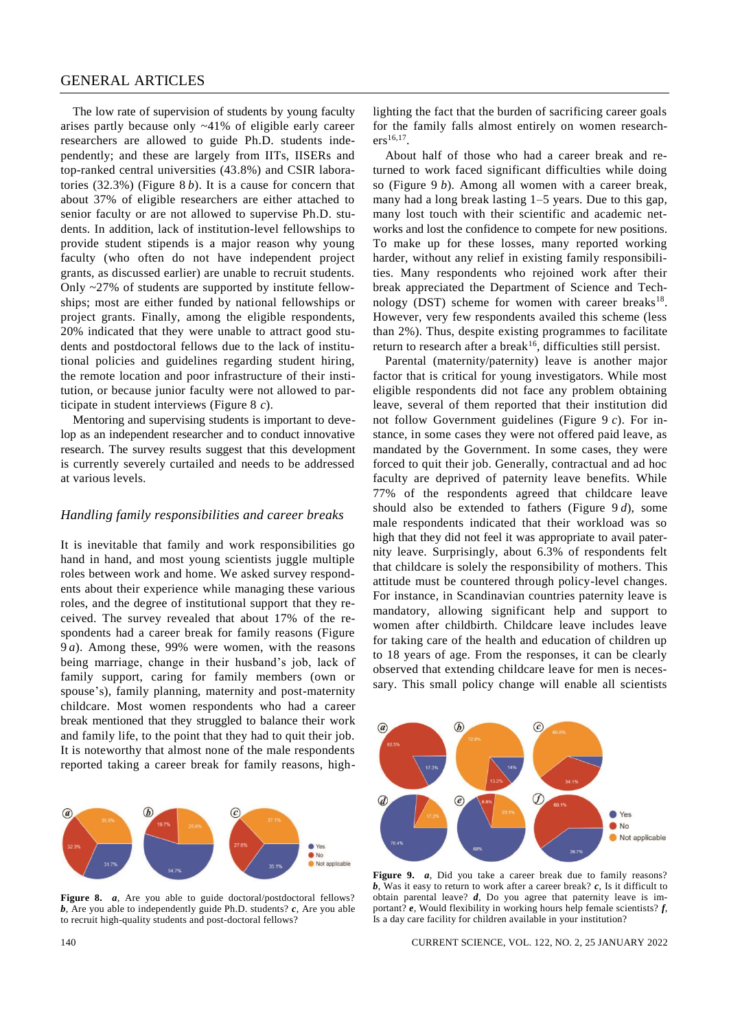The low rate of supervision of students by young faculty arises partly because only ~41% of eligible early career researchers are allowed to guide Ph.D. students independently; and these are largely from IITs, IISERs and top-ranked central universities (43.8%) and CSIR laboratories (32.3%) (Figure 8 *b*). It is a cause for concern that about 37% of eligible researchers are either attached to senior faculty or are not allowed to supervise Ph.D. students. In addition, lack of institution-level fellowships to provide student stipends is a major reason why young faculty (who often do not have independent project grants, as discussed earlier) are unable to recruit students. Only ~27% of students are supported by institute fellowships; most are either funded by national fellowships or project grants. Finally, among the eligible respondents, 20% indicated that they were unable to attract good students and postdoctoral fellows due to the lack of institutional policies and guidelines regarding student hiring, the remote location and poor infrastructure of their institution, or because junior faculty were not allowed to participate in student interviews (Figure 8 *c*).

Mentoring and supervising students is important to develop as an independent researcher and to conduct innovative research. The survey results suggest that this development is currently severely curtailed and needs to be addressed at various levels.

#### *Handling family responsibilities and career breaks*

It is inevitable that family and work responsibilities go hand in hand, and most young scientists juggle multiple roles between work and home. We asked survey respondents about their experience while managing these various roles, and the degree of institutional support that they received. The survey revealed that about 17% of the respondents had a career break for family reasons (Figure 9 *a*). Among these, 99% were women, with the reasons being marriage, change in their husband's job, lack of family support, caring for family members (own or spouse's), family planning, maternity and post-maternity childcare. Most women respondents who had a career break mentioned that they struggled to balance their work and family life, to the point that they had to quit their job. It is noteworthy that almost none of the male respondents reported taking a career break for family reasons, high-



Figure 8. *a*, Are you able to guide doctoral/postdoctoral fellows? *b*, Are you able to independently guide Ph.D. students? *c*, Are you able to recruit high-quality students and post-doctoral fellows?

lighting the fact that the burden of sacrificing career goals for the family falls almost entirely on women research $ers^{16,17}.$ 

About half of those who had a career break and returned to work faced significant difficulties while doing so (Figure 9 *b*). Among all women with a career break, many had a long break lasting 1–5 years. Due to this gap, many lost touch with their scientific and academic networks and lost the confidence to compete for new positions. To make up for these losses, many reported working harder, without any relief in existing family responsibilities. Many respondents who rejoined work after their break appreciated the Department of Science and Technology (DST) scheme for women with career breaks $18$ . However, very few respondents availed this scheme (less than 2%). Thus, despite existing programmes to facilitate return to research after a break<sup>16</sup>, difficulties still persist.

Parental (maternity/paternity) leave is another major factor that is critical for young investigators. While most eligible respondents did not face any problem obtaining leave, several of them reported that their institution did not follow Government guidelines (Figure 9 *c*). For instance, in some cases they were not offered paid leave, as mandated by the Government. In some cases, they were forced to quit their job. Generally, contractual and ad hoc faculty are deprived of paternity leave benefits. While 77% of the respondents agreed that childcare leave should also be extended to fathers (Figure 9 *d*), some male respondents indicated that their workload was so high that they did not feel it was appropriate to avail paternity leave. Surprisingly, about 6.3% of respondents felt that childcare is solely the responsibility of mothers. This attitude must be countered through policy-level changes. For instance, in Scandinavian countries paternity leave is mandatory, allowing significant help and support to women after childbirth. Childcare leave includes leave for taking care of the health and education of children up to 18 years of age. From the responses, it can be clearly observed that extending childcare leave for men is necessary. This small policy change will enable all scientists



**Figure 9.** *a*, Did you take a career break due to family reasons? *b*, Was it easy to return to work after a career break? *c*, Is it difficult to obtain parental leave? *d*, Do you agree that paternity leave is important? *e*, Would flexibility in working hours help female scientists? *f*, Is a day care facility for children available in your institution?

140 CURRENT SCIENCE, VOL. 122, NO. 2, 25 JANUARY 2022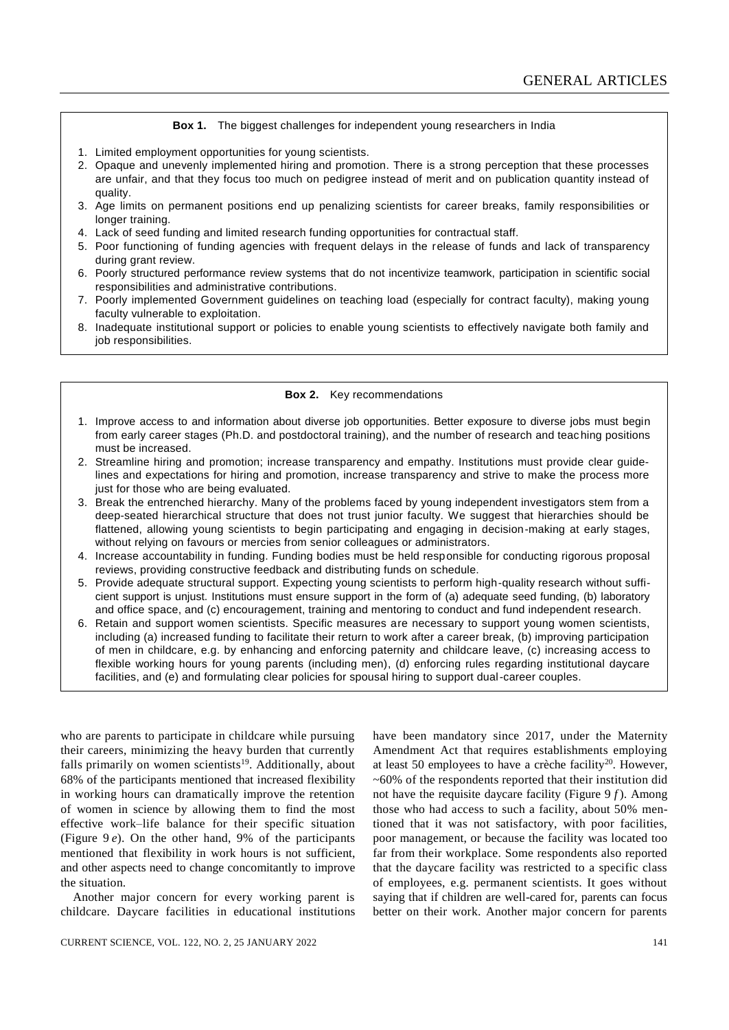**Box 1.** The biggest challenges for independent young researchers in India

- 1. Limited employment opportunities for young scientists.
- 2. Opaque and unevenly implemented hiring and promotion. There is a strong perception that these processes are unfair, and that they focus too much on pedigree instead of merit and on publication quantity instead of quality.
- 3. Age limits on permanent positions end up penalizing scientists for career breaks, family responsibilities or longer training.
- 4. Lack of seed funding and limited research funding opportunities for contractual staff.
- 5. Poor functioning of funding agencies with frequent delays in the release of funds and lack of transparency during grant review.
- 6. Poorly structured performance review systems that do not incentivize teamwork, participation in scientific social responsibilities and administrative contributions.
- 7. Poorly implemented Government guidelines on teaching load (especially for contract faculty), making young faculty vulnerable to exploitation.
- 8. Inadequate institutional support or policies to enable young scientists to effectively navigate both family and job responsibilities.

#### **Box 2.** Key recommendations

- 1. Improve access to and information about diverse job opportunities. Better exposure to diverse jobs must begin from early career stages (Ph.D. and postdoctoral training), and the number of research and teac hing positions must be increased.
- 2. Streamline hiring and promotion; increase transparency and empathy. Institutions must provide clear guidelines and expectations for hiring and promotion, increase transparency and strive to make the process more just for those who are being evaluated.
- 3. Break the entrenched hierarchy. Many of the problems faced by young independent investigators stem from a deep-seated hierarchical structure that does not trust junior faculty. We suggest that hierarchies should be flattened, allowing young scientists to begin participating and engaging in decision-making at early stages, without relying on favours or mercies from senior colleagues or administrators.
- 4. Increase accountability in funding. Funding bodies must be held responsible for conducting rigorous proposal reviews, providing constructive feedback and distributing funds on schedule.
- 5. Provide adequate structural support. Expecting young scientists to perform high-quality research without sufficient support is unjust. Institutions must ensure support in the form of (a) adequate seed funding, (b) laboratory and office space, and (c) encouragement, training and mentoring to conduct and fund independent research.
- 6. Retain and support women scientists. Specific measures are necessary to support young women scientists, including (a) increased funding to facilitate their return to work after a career break, (b) improving participation of men in childcare, e.g. by enhancing and enforcing paternity and childcare leave, (c) increasing access to flexible working hours for young parents (including men), (d) enforcing rules regarding institutional daycare facilities, and (e) and formulating clear policies for spousal hiring to support dual-career couples.

who are parents to participate in childcare while pursuing their careers, minimizing the heavy burden that currently falls primarily on women scientists<sup>19</sup>. Additionally, about 68% of the participants mentioned that increased flexibility in working hours can dramatically improve the retention of women in science by allowing them to find the most effective work–life balance for their specific situation (Figure 9 *e*). On the other hand, 9% of the participants mentioned that flexibility in work hours is not sufficient, and other aspects need to change concomitantly to improve the situation.

Another major concern for every working parent is childcare. Daycare facilities in educational institutions have been mandatory since 2017, under the Maternity Amendment Act that requires establishments employing at least 50 employees to have a crèche facility<sup>20</sup>. However, ~60% of the respondents reported that their institution did not have the requisite daycare facility (Figure 9 *f* ). Among those who had access to such a facility, about 50% mentioned that it was not satisfactory, with poor facilities, poor management, or because the facility was located too far from their workplace. Some respondents also reported that the daycare facility was restricted to a specific class of employees, e.g. permanent scientists. It goes without saying that if children are well-cared for, parents can focus better on their work. Another major concern for parents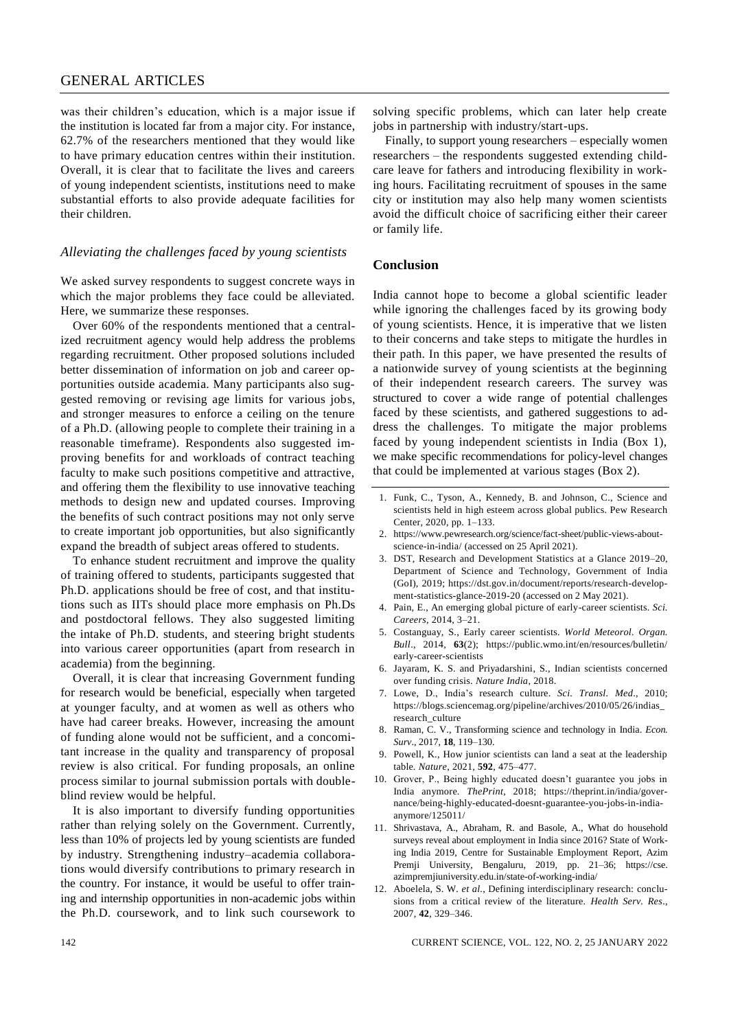# GENERAL ARTICLES

was their children's education, which is a major issue if the institution is located far from a major city. For instance, 62.7% of the researchers mentioned that they would like to have primary education centres within their institution. Overall, it is clear that to facilitate the lives and careers of young independent scientists, institutions need to make substantial efforts to also provide adequate facilities for their children.

#### *Alleviating the challenges faced by young scientists*

We asked survey respondents to suggest concrete ways in which the major problems they face could be alleviated. Here, we summarize these responses.

Over 60% of the respondents mentioned that a centralized recruitment agency would help address the problems regarding recruitment. Other proposed solutions included better dissemination of information on job and career opportunities outside academia. Many participants also suggested removing or revising age limits for various jobs, and stronger measures to enforce a ceiling on the tenure of a Ph.D. (allowing people to complete their training in a reasonable timeframe). Respondents also suggested improving benefits for and workloads of contract teaching faculty to make such positions competitive and attractive, and offering them the flexibility to use innovative teaching methods to design new and updated courses. Improving the benefits of such contract positions may not only serve to create important job opportunities, but also significantly expand the breadth of subject areas offered to students.

To enhance student recruitment and improve the quality of training offered to students, participants suggested that Ph.D. applications should be free of cost, and that institutions such as IITs should place more emphasis on Ph.Ds and postdoctoral fellows. They also suggested limiting the intake of Ph.D. students, and steering bright students into various career opportunities (apart from research in academia) from the beginning.

Overall, it is clear that increasing Government funding for research would be beneficial, especially when targeted at younger faculty, and at women as well as others who have had career breaks. However, increasing the amount of funding alone would not be sufficient, and a concomitant increase in the quality and transparency of proposal review is also critical. For funding proposals, an online process similar to journal submission portals with doubleblind review would be helpful.

It is also important to diversify funding opportunities rather than relying solely on the Government. Currently, less than 10% of projects led by young scientists are funded by industry. Strengthening industry–academia collaborations would diversify contributions to primary research in the country. For instance, it would be useful to offer training and internship opportunities in non-academic jobs within the Ph.D. coursework, and to link such coursework to

solving specific problems, which can later help create jobs in partnership with industry/start-ups.

Finally, to support young researchers – especially women researchers – the respondents suggested extending childcare leave for fathers and introducing flexibility in working hours. Facilitating recruitment of spouses in the same city or institution may also help many women scientists avoid the difficult choice of sacrificing either their career or family life.

#### **Conclusion**

India cannot hope to become a global scientific leader while ignoring the challenges faced by its growing body of young scientists. Hence, it is imperative that we listen to their concerns and take steps to mitigate the hurdles in their path. In this paper, we have presented the results of a nationwide survey of young scientists at the beginning of their independent research careers. The survey was structured to cover a wide range of potential challenges faced by these scientists, and gathered suggestions to address the challenges. To mitigate the major problems faced by young independent scientists in India (Box 1), we make specific recommendations for policy-level changes that could be implemented at various stages (Box 2).

- 1. Funk, C., Tyson, A., Kennedy, B. and Johnson, C., Science and scientists held in high esteem across global publics. Pew Research Center, 2020, pp. 1–133.
- 2. [https://www.pewresearch.org/science/fact-sheet/public-views-about](https://www.pewresearch.org/science/fact-sheet/public-views-about-science-in-india/)[science-in-india/](https://www.pewresearch.org/science/fact-sheet/public-views-about-science-in-india/) (accessed on 25 April 2021).
- 3. DST, Research and Development Statistics at a Glance 2019–20, Department of Science and Technology, Government of India (GoI), 2019; [https://dst.gov.in/document/reports/research-develop](https://dst.gov.in/document/reports/research-development-statistics-glance-2019-20)[ment-statistics-glance-2019-20](https://dst.gov.in/document/reports/research-development-statistics-glance-2019-20) (accessed on 2 May 2021).
- 4. Pain, E., An emerging global picture of early-career scientists. *Sci. Careers*, 2014, 3–21.
- 5. Costanguay, S., Early career scientists. *World Meteorol. Organ. Bull*., 2014, **63**(2); [https://public.wmo.int/en/resources/bulletin/](https://public.wmo.int/en/resources/bulletin/early-career-scientists) [early-career-scientists](https://public.wmo.int/en/resources/bulletin/early-career-scientists)
- 6. Jayaram, K. S. and Priyadarshini, S., Indian scientists concerned over funding crisis. *Nature India*, 2018.
- 7. Lowe, D., India's research culture. *Sci. Transl. Med*., 2010; [https://blogs.sciencemag.org/pipeline/archives/2010/05/26/indias\\_](https://blogs.sciencemag.org/pipeline/archives/2010/05/26/indias_research_culture) [research\\_culture](https://blogs.sciencemag.org/pipeline/archives/2010/05/26/indias_research_culture)
- 8. Raman, C. V., Transforming science and technology in India. *Econ. Surv*., 2017, **18**, 119–130.
- 9. Powell, K., How junior scientists can land a seat at the leadership table*. Nature*, 2021, **592**, 475–477.
- 10. Grover, P., Being highly educated doesn't guarantee you jobs in India anymore. *ThePrint*, 2018; [https://theprint.in/india/gover](https://theprint.in/india/governance/being-highly-educated-doesnt-guarantee-you-jobs-in-india-anymore/125011/)[nance/being-highly-educated-doesnt-guarantee-you-jobs-in-india](https://theprint.in/india/governance/being-highly-educated-doesnt-guarantee-you-jobs-in-india-anymore/125011/)[anymore/125011/](https://theprint.in/india/governance/being-highly-educated-doesnt-guarantee-you-jobs-in-india-anymore/125011/)
- 11. Shrivastava, A., Abraham, R. and Basole, A., What do household surveys reveal about employment in India since 2016? State of Working India 2019, Centre for Sustainable Employment Report, Azim Premji University, Bengaluru, 2019, pp. 21–36; [https://cse.](https://cse.azimpremjiuniversity.edu.in/state-of-working-india/) [azimpremjiuniversity.edu.in/state-of-working-india/](https://cse.azimpremjiuniversity.edu.in/state-of-working-india/)
- 12. Aboelela, S. W. *et al.*, Defining interdisciplinary research: conclusions from a critical review of the literature. *Health Serv. Res*., 2007, **42**, 329–346.